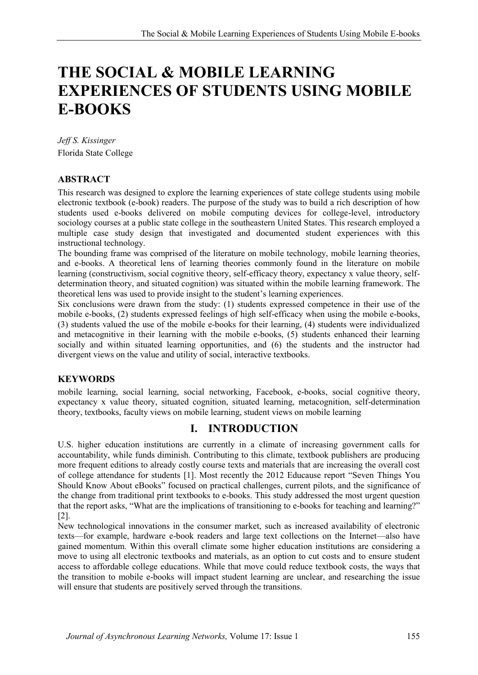# **THE SOCIAL & MOBILE LEARNING EXPERIENCES OF STUDENTS USING MOBILE E-BOOKS**

*Jeff S. Kissinger* Florida State College

#### **ABSTRACT**

This research was designed to explore the learning experiences of state college students using mobile electronic textbook (e-book) readers. The purpose of the study was to build a rich description of how students used e-books delivered on mobile computing devices for college-level, introductory sociology courses at a public state college in the southeastern United States. This research employed a multiple case study design that investigated and documented student experiences with this instructional technology.

The bounding frame was comprised of the literature on mobile technology, mobile learning theories, and e-books. A theoretical lens of learning theories commonly found in the literature on mobile learning (constructivism, social cognitive theory, self-efficacy theory, expectancy x value theory, selfdetermination theory, and situated cognition) was situated within the mobile learning framework. The theoretical lens was used to provide insight to the student's learning experiences.

Six conclusions were drawn from the study: (1) students expressed competence in their use of the mobile e-books, (2) students expressed feelings of high self-efficacy when using the mobile e-books, (3) students valued the use of the mobile e-books for their learning, (4) students were individualized and metacognitive in their learning with the mobile e-books, (5) students enhanced their learning socially and within situated learning opportunities, and (6) the students and the instructor had divergent views on the value and utility of social, interactive textbooks.

#### **KEYWORDS**

mobile learning, social learning, social networking, Facebook, e-books, social cognitive theory, expectancy x value theory, situated cognition, situated learning, metacognition, self-determination theory, textbooks, faculty views on mobile learning, student views on mobile learning

#### **I. INTRODUCTION**

U.S. higher education institutions are currently in a climate of increasing government calls for accountability, while funds diminish. Contributing to this climate, textbook publishers are producing more frequent editions to already costly course texts and materials that are increasing the overall cost of college attendance for students [1]. Most recently the 2012 Educause report "Seven Things You Should Know About eBooks" focused on practical challenges, current pilots, and the significance of the change from traditional print textbooks to e-books. This study addressed the most urgent question that the report asks, "What are the implications of transitioning to e-books for teaching and learning?" [2].

New technological innovations in the consumer market, such as increased availability of electronic texts—for example, hardware e-book readers and large text collections on the Internet—also have gained momentum. Within this overall climate some higher education institutions are considering a move to using all electronic textbooks and materials, as an option to cut costs and to ensure student access to affordable college educations. While that move could reduce textbook costs, the ways that the transition to mobile e-books will impact student learning are unclear, and researching the issue will ensure that students are positively served through the transitions.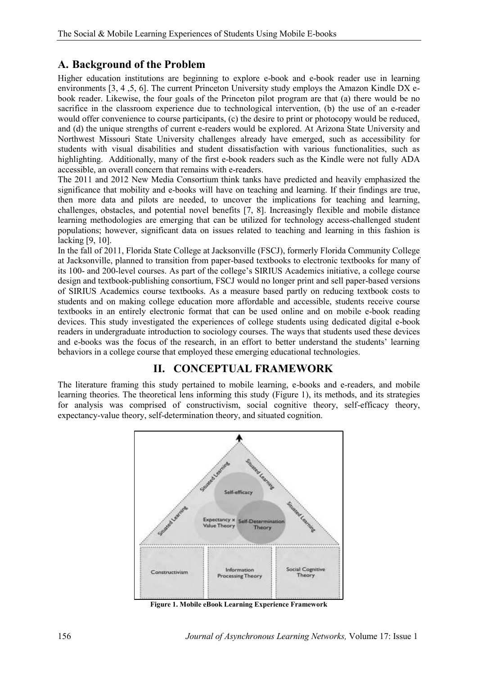## **A. Background of the Problem**

Higher education institutions are beginning to explore e-book and e-book reader use in learning environments [3, 4 ,5, 6]. The current Princeton University study employs the Amazon Kindle DX ebook reader. Likewise, the four goals of the Princeton pilot program are that (a) there would be no sacrifice in the classroom experience due to technological intervention, (b) the use of an e-reader would offer convenience to course participants, (c) the desire to print or photocopy would be reduced, and (d) the unique strengths of current e-readers would be explored. At Arizona State University and Northwest Missouri State University challenges already have emerged, such as accessibility for students with visual disabilities and student dissatisfaction with various functionalities, such as highlighting. Additionally, many of the first e-book readers such as the Kindle were not fully ADA accessible, an overall concern that remains with e-readers.

The 2011 and 2012 New Media Consortium think tanks have predicted and heavily emphasized the significance that mobility and e-books will have on teaching and learning. If their findings are true, then more data and pilots are needed, to uncover the implications for teaching and learning, challenges, obstacles, and potential novel benefits [7, 8]. Increasingly flexible and mobile distance learning methodologies are emerging that can be utilized for technology access-challenged student populations; however, significant data on issues related to teaching and learning in this fashion is lacking [9, 10].

In the fall of 2011, Florida State College at Jacksonville (FSCJ), formerly Florida Community College at Jacksonville, planned to transition from paper-based textbooks to electronic textbooks for many of its 100- and 200-level courses. As part of the college's SIRIUS Academics initiative, a college course design and textbook-publishing consortium, FSCJ would no longer print and sell paper-based versions of SIRIUS Academics course textbooks. As a measure based partly on reducing textbook costs to students and on making college education more affordable and accessible, students receive course textbooks in an entirely electronic format that can be used online and on mobile e-book reading devices. This study investigated the experiences of college students using dedicated digital e-book readers in undergraduate introduction to sociology courses. The ways that students used these devices and e-books was the focus of the research, in an effort to better understand the students' learning behaviors in a college course that employed these emerging educational technologies.

# **II. CONCEPTUAL FRAMEWORK**

The literature framing this study pertained to mobile learning, e-books and e-readers, and mobile learning theories. The theoretical lens informing this study (Figure 1), its methods, and its strategies for analysis was comprised of constructivism, social cognitive theory, self-efficacy theory, expectancy-value theory, self-determination theory, and situated cognition.



**Figure 1. Mobile eBook Learning Experience Framework**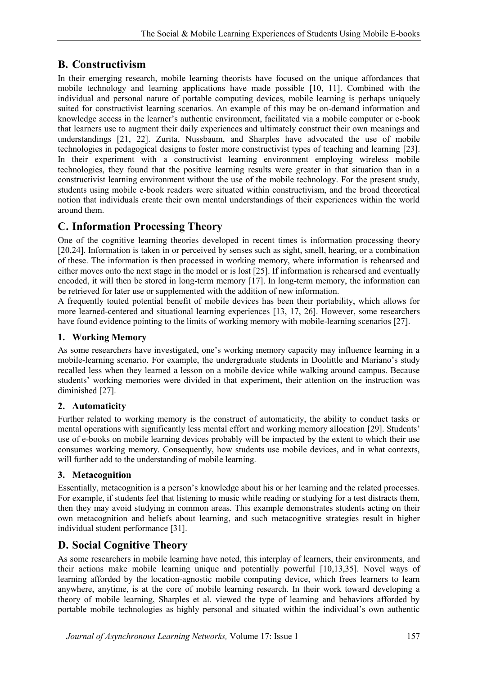# **B. Constructivism**

In their emerging research, mobile learning theorists have focused on the unique affordances that mobile technology and learning applications have made possible [10, 11]. Combined with the individual and personal nature of portable computing devices, mobile learning is perhaps uniquely suited for constructivist learning scenarios. An example of this may be on-demand information and knowledge access in the learner's authentic environment, facilitated via a mobile computer or e-book that learners use to augment their daily experiences and ultimately construct their own meanings and understandings [21, 22]. Zurita, Nussbaum, and Sharples have advocated the use of mobile technologies in pedagogical designs to foster more constructivist types of teaching and learning [23]. In their experiment with a constructivist learning environment employing wireless mobile technologies, they found that the positive learning results were greater in that situation than in a constructivist learning environment without the use of the mobile technology. For the present study, students using mobile e-book readers were situated within constructivism, and the broad theoretical notion that individuals create their own mental understandings of their experiences within the world around them.

# **C. Information Processing Theory**

One of the cognitive learning theories developed in recent times is information processing theory [20,24]. Information is taken in or perceived by senses such as sight, smell, hearing, or a combination of these. The information is then processed in working memory, where information is rehearsed and either moves onto the next stage in the model or is lost [25]. If information is rehearsed and eventually encoded, it will then be stored in long-term memory [17]. In long-term memory, the information can be retrieved for later use or supplemented with the addition of new information.

A frequently touted potential benefit of mobile devices has been their portability, which allows for more learned-centered and situational learning experiences [13, 17, 26]. However, some researchers have found evidence pointing to the limits of working memory with mobile-learning scenarios [27].

#### **1. Working Memory**

As some researchers have investigated, one's working memory capacity may influence learning in a mobile-learning scenario. For example, the undergraduate students in Doolittle and Mariano's study recalled less when they learned a lesson on a mobile device while walking around campus. Because students' working memories were divided in that experiment, their attention on the instruction was diminished [27].

#### **2. Automaticity**

Further related to working memory is the construct of automaticity, the ability to conduct tasks or mental operations with significantly less mental effort and working memory allocation [29]. Students' use of e-books on mobile learning devices probably will be impacted by the extent to which their use consumes working memory. Consequently, how students use mobile devices, and in what contexts, will further add to the understanding of mobile learning.

#### **3. Metacognition**

Essentially, metacognition is a person's knowledge about his or her learning and the related processes. For example, if students feel that listening to music while reading or studying for a test distracts them, then they may avoid studying in common areas. This example demonstrates students acting on their own metacognition and beliefs about learning, and such metacognitive strategies result in higher individual student performance [31].

## **D. Social Cognitive Theory**

As some researchers in mobile learning have noted, this interplay of learners, their environments, and their actions make mobile learning unique and potentially powerful [10,13,35]. Novel ways of learning afforded by the location-agnostic mobile computing device, which frees learners to learn anywhere, anytime, is at the core of mobile learning research. In their work toward developing a theory of mobile learning, Sharples et al. viewed the type of learning and behaviors afforded by portable mobile technologies as highly personal and situated within the individual's own authentic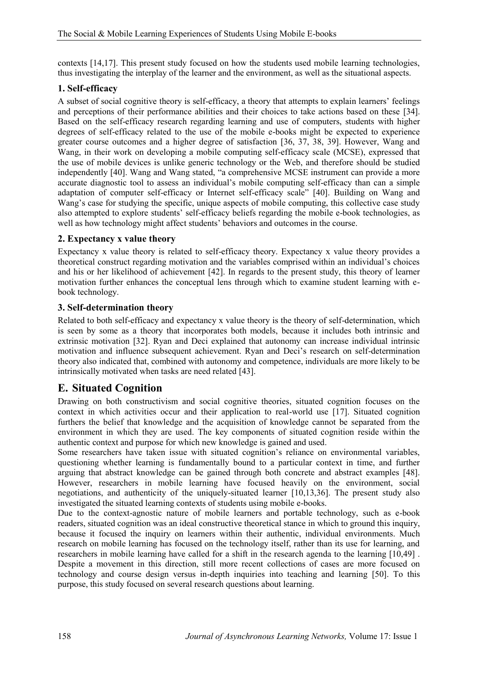contexts [14,17]. This present study focused on how the students used mobile learning technologies, thus investigating the interplay of the learner and the environment, as well as the situational aspects.

#### **1. Self-efficacy**

A subset of social cognitive theory is self-efficacy, a theory that attempts to explain learners' feelings and perceptions of their performance abilities and their choices to take actions based on these [34]. Based on the self-efficacy research regarding learning and use of computers, students with higher degrees of self-efficacy related to the use of the mobile e-books might be expected to experience greater course outcomes and a higher degree of satisfaction [36, 37, 38, 39]. However, Wang and Wang, in their work on developing a mobile computing self-efficacy scale (MCSE), expressed that the use of mobile devices is unlike generic technology or the Web, and therefore should be studied independently [40]. Wang and Wang stated, "a comprehensive MCSE instrument can provide a more accurate diagnostic tool to assess an individual's mobile computing self-efficacy than can a simple adaptation of computer self-efficacy or Internet self-efficacy scale" [40]. Building on Wang and Wang's case for studying the specific, unique aspects of mobile computing, this collective case study also attempted to explore students' self-efficacy beliefs regarding the mobile e-book technologies, as well as how technology might affect students' behaviors and outcomes in the course.

#### **2. Expectancy x value theory**

Expectancy x value theory is related to self-efficacy theory. Expectancy x value theory provides a theoretical construct regarding motivation and the variables comprised within an individual's choices and his or her likelihood of achievement [42]. In regards to the present study, this theory of learner motivation further enhances the conceptual lens through which to examine student learning with ebook technology.

#### **3. Self-determination theory**

Related to both self-efficacy and expectancy x value theory is the theory of self-determination, which is seen by some as a theory that incorporates both models, because it includes both intrinsic and extrinsic motivation [32]. Ryan and Deci explained that autonomy can increase individual intrinsic motivation and influence subsequent achievement. Ryan and Deci's research on self-determination theory also indicated that, combined with autonomy and competence, individuals are more likely to be intrinsically motivated when tasks are need related [43].

## **E. Situated Cognition**

Drawing on both constructivism and social cognitive theories, situated cognition focuses on the context in which activities occur and their application to real-world use [17]. Situated cognition furthers the belief that knowledge and the acquisition of knowledge cannot be separated from the environment in which they are used. The key components of situated cognition reside within the authentic context and purpose for which new knowledge is gained and used.

Some researchers have taken issue with situated cognition's reliance on environmental variables, questioning whether learning is fundamentally bound to a particular context in time, and further arguing that abstract knowledge can be gained through both concrete and abstract examples [48]. However, researchers in mobile learning have focused heavily on the environment, social negotiations, and authenticity of the uniquely-situated learner [10,13,36]. The present study also investigated the situated learning contexts of students using mobile e-books.

Due to the context-agnostic nature of mobile learners and portable technology, such as e-book readers, situated cognition was an ideal constructive theoretical stance in which to ground this inquiry, because it focused the inquiry on learners within their authentic, individual environments. Much research on mobile learning has focused on the technology itself, rather than its use for learning, and researchers in mobile learning have called for a shift in the research agenda to the learning [10,49] . Despite a movement in this direction, still more recent collections of cases are more focused on technology and course design versus in-depth inquiries into teaching and learning [50]. To this purpose, this study focused on several research questions about learning.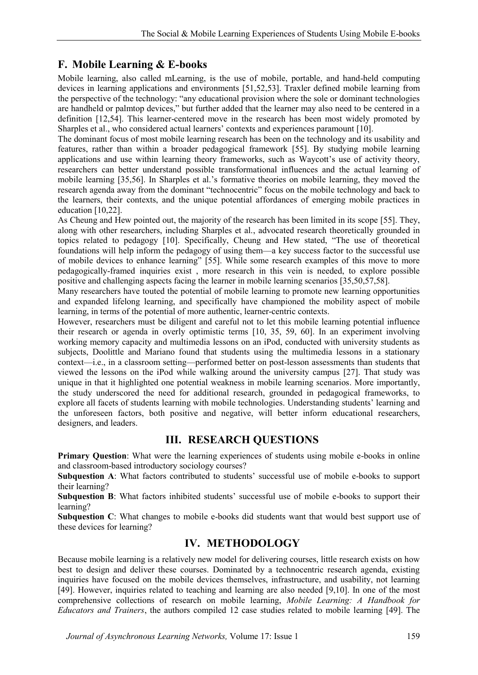## **F. Mobile Learning & E-books**

Mobile learning, also called mLearning, is the use of mobile, portable, and hand-held computing devices in learning applications and environments [51,52,53]. Traxler defined mobile learning from the perspective of the technology: "any educational provision where the sole or dominant technologies are handheld or palmtop devices," but further added that the learner may also need to be centered in a definition [12,54]. This learner-centered move in the research has been most widely promoted by Sharples et al., who considered actual learners' contexts and experiences paramount [10].

The dominant focus of most mobile learning research has been on the technology and its usability and features, rather than within a broader pedagogical framework [55]. By studying mobile learning applications and use within learning theory frameworks, such as Waycott's use of activity theory, researchers can better understand possible transformational influences and the actual learning of mobile learning [35,56]. In Sharples et al.'s formative theories on mobile learning, they moved the research agenda away from the dominant "technocentric" focus on the mobile technology and back to the learners, their contexts, and the unique potential affordances of emerging mobile practices in education [10,22].

As Cheung and Hew pointed out, the majority of the research has been limited in its scope [55]. They, along with other researchers, including Sharples et al., advocated research theoretically grounded in topics related to pedagogy [10]. Specifically, Cheung and Hew stated, "The use of theoretical foundations will help inform the pedagogy of using them—a key success factor to the successful use of mobile devices to enhance learning" [55]. While some research examples of this move to more pedagogically-framed inquiries exist , more research in this vein is needed, to explore possible positive and challenging aspects facing the learner in mobile learning scenarios [35,50,57,58].

Many researchers have touted the potential of mobile learning to promote new learning opportunities and expanded lifelong learning, and specifically have championed the mobility aspect of mobile learning, in terms of the potential of more authentic, learner-centric contexts.

However, researchers must be diligent and careful not to let this mobile learning potential influence their research or agenda in overly optimistic terms [10, 35, 59, 60]. In an experiment involving working memory capacity and multimedia lessons on an iPod, conducted with university students as subjects, Doolittle and Mariano found that students using the multimedia lessons in a stationary context—i.e., in a classroom setting—performed better on post-lesson assessments than students that viewed the lessons on the iPod while walking around the university campus [27]. That study was unique in that it highlighted one potential weakness in mobile learning scenarios. More importantly, the study underscored the need for additional research, grounded in pedagogical frameworks, to explore all facets of students learning with mobile technologies. Understanding students' learning and the unforeseen factors, both positive and negative, will better inform educational researchers, designers, and leaders.

## **III. RESEARCH QUESTIONS**

**Primary Question**: What were the learning experiences of students using mobile e-books in online and classroom-based introductory sociology courses?

**Subquestion A**: What factors contributed to students' successful use of mobile e-books to support their learning?

**Subquestion B**: What factors inhibited students' successful use of mobile e-books to support their learning?

**Subquestion C**: What changes to mobile e-books did students want that would best support use of these devices for learning?

## **IV. METHODOLOGY**

Because mobile learning is a relatively new model for delivering courses, little research exists on how best to design and deliver these courses. Dominated by a technocentric research agenda, existing inquiries have focused on the mobile devices themselves, infrastructure, and usability, not learning [49]. However, inquiries related to teaching and learning are also needed [9,10]. In one of the most comprehensive collections of research on mobile learning, *Mobile Learning: A Handbook for Educators and Trainers*, the authors compiled 12 case studies related to mobile learning [49]. The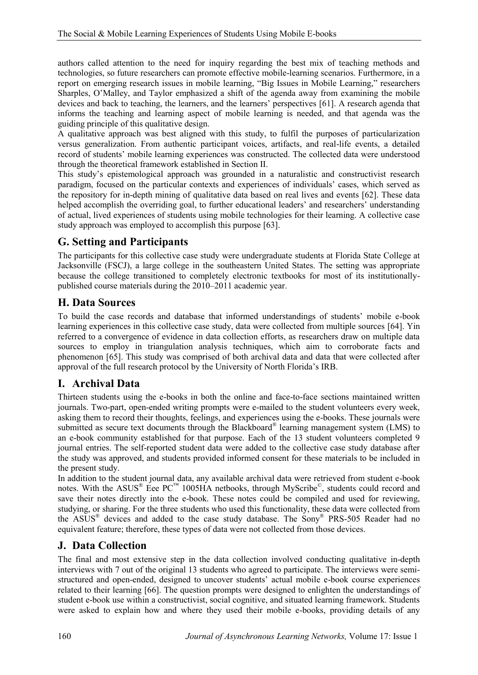authors called attention to the need for inquiry regarding the best mix of teaching methods and technologies, so future researchers can promote effective mobile-learning scenarios. Furthermore, in a report on emerging research issues in mobile learning, "Big Issues in Mobile Learning," researchers Sharples, O'Malley, and Taylor emphasized a shift of the agenda away from examining the mobile devices and back to teaching, the learners, and the learners' perspectives [61]. A research agenda that informs the teaching and learning aspect of mobile learning is needed, and that agenda was the guiding principle of this qualitative design.

A qualitative approach was best aligned with this study, to fulfil the purposes of particularization versus generalization. From authentic participant voices, artifacts, and real-life events, a detailed record of students' mobile learning experiences was constructed. The collected data were understood through the theoretical framework established in Section II.

This study's epistemological approach was grounded in a naturalistic and constructivist research paradigm, focused on the particular contexts and experiences of individuals' cases, which served as the repository for in-depth mining of qualitative data based on real lives and events [62]. These data helped accomplish the overriding goal, to further educational leaders' and researchers' understanding of actual, lived experiences of students using mobile technologies for their learning. A collective case study approach was employed to accomplish this purpose [63].

# **G. Setting and Participants**

The participants for this collective case study were undergraduate students at Florida State College at Jacksonville (FSCJ), a large college in the southeastern United States. The setting was appropriate because the college transitioned to completely electronic textbooks for most of its institutionallypublished course materials during the 2010–2011 academic year.

## **H. Data Sources**

To build the case records and database that informed understandings of students' mobile e-book learning experiences in this collective case study, data were collected from multiple sources [64]. Yin referred to a convergence of evidence in data collection efforts, as researchers draw on multiple data sources to employ in triangulation analysis techniques, which aim to corroborate facts and phenomenon [65]. This study was comprised of both archival data and data that were collected after approval of the full research protocol by the University of North Florida's IRB.

# **I. Archival Data**

Thirteen students using the e-books in both the online and face-to-face sections maintained written journals. Two-part, open-ended writing prompts were e-mailed to the student volunteers every week, asking them to record their thoughts, feelings, and experiences using the e-books. These journals were submitted as secure text documents through the Blackboard® learning management system (LMS) to an e-book community established for that purpose. Each of the 13 student volunteers completed 9 journal entries. The self-reported student data were added to the collective case study database after the study was approved, and students provided informed consent for these materials to be included in the present study.

In addition to the student journal data, any available archival data were retrieved from student e-book notes. With the ASUS<sup>®</sup> Eee PC<sup>™</sup> 1005HA netbooks, through MyScribe<sup>©</sup>, students could record and save their notes directly into the e-book. These notes could be compiled and used for reviewing, studying, or sharing. For the three students who used this functionality, these data were collected from the ASUS<sup>®</sup> devices and added to the case study database. The Sony<sup>®</sup> PRS-505 Reader had no equivalent feature; therefore, these types of data were not collected from those devices.

## **J. Data Collection**

The final and most extensive step in the data collection involved conducting qualitative in-depth interviews with 7 out of the original 13 students who agreed to participate. The interviews were semistructured and open-ended, designed to uncover students' actual mobile e-book course experiences related to their learning [66]. The question prompts were designed to enlighten the understandings of student e-book use within a constructivist, social cognitive, and situated learning framework. Students were asked to explain how and where they used their mobile e-books, providing details of any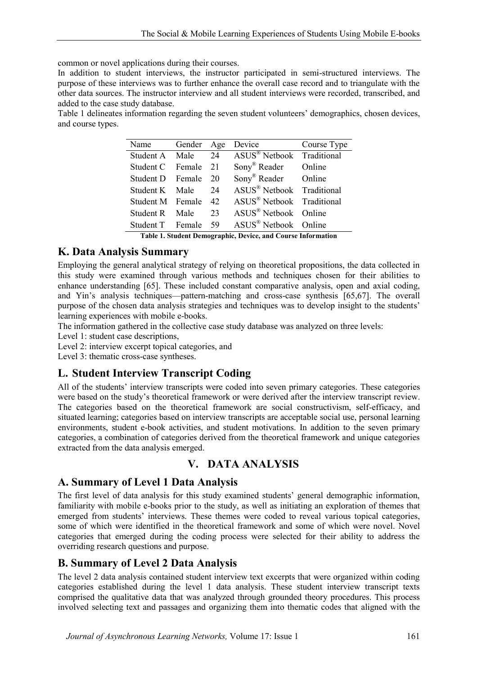common or novel applications during their courses.

In addition to student interviews, the instructor participated in semi-structured interviews. The purpose of these interviews was to further enhance the overall case record and to triangulate with the other data sources. The instructor interview and all student interviews were recorded, transcribed, and added to the case study database.

Table 1 delineates information regarding the seven student volunteers' demographics, chosen devices, and course types.

| Name                | Gender Age |    | Device                                | Course Type |
|---------------------|------------|----|---------------------------------------|-------------|
| Student A Male 24   |            |    | ASUS <sup>®</sup> Netbook Traditional |             |
| Student C Female 21 |            |    | Sony <sup>®</sup> Reader Online       |             |
| Student D Female 20 |            |    | Sony <sup>®</sup> Reader Online       |             |
| Student K Male 24   |            |    | ASUS <sup>®</sup> Netbook Traditional |             |
| Student M Female 42 |            |    | ASUS <sup>®</sup> Netbook Traditional |             |
| Student R Male      |            | 23 | $ASUS^{\&}$ Netbook Online            |             |
| Student T Female 59 |            |    | $ASUS^{\circledR}$ Netbook Online     |             |

**Table 1. Student Demographic, Device, and Course Information**

#### **K. Data Analysis Summary**

Employing the general analytical strategy of relying on theoretical propositions, the data collected in this study were examined through various methods and techniques chosen for their abilities to enhance understanding [65]. These included constant comparative analysis, open and axial coding, and Yin's analysis techniques—pattern-matching and cross-case synthesis [65,67]. The overall purpose of the chosen data analysis strategies and techniques was to develop insight to the students' learning experiences with mobile e-books.

The information gathered in the collective case study database was analyzed on three levels:

Level 1: student case descriptions,

Level 2: interview excerpt topical categories, and

Level 3: thematic cross-case syntheses.

## **L. Student Interview Transcript Coding**

All of the students' interview transcripts were coded into seven primary categories. These categories were based on the study's theoretical framework or were derived after the interview transcript review. The categories based on the theoretical framework are social constructivism, self-efficacy, and situated learning; categories based on interview transcripts are acceptable social use, personal learning environments, student e-book activities, and student motivations. In addition to the seven primary categories, a combination of categories derived from the theoretical framework and unique categories extracted from the data analysis emerged.

## **V. DATA ANALYSIS**

## **A. Summary of Level 1 Data Analysis**

The first level of data analysis for this study examined students' general demographic information, familiarity with mobile e-books prior to the study, as well as initiating an exploration of themes that emerged from students' interviews. These themes were coded to reveal various topical categories, some of which were identified in the theoretical framework and some of which were novel. Novel categories that emerged during the coding process were selected for their ability to address the overriding research questions and purpose.

## **B. Summary of Level 2 Data Analysis**

The level 2 data analysis contained student interview text excerpts that were organized within coding categories established during the level 1 data analysis. These student interview transcript texts comprised the qualitative data that was analyzed through grounded theory procedures. This process involved selecting text and passages and organizing them into thematic codes that aligned with the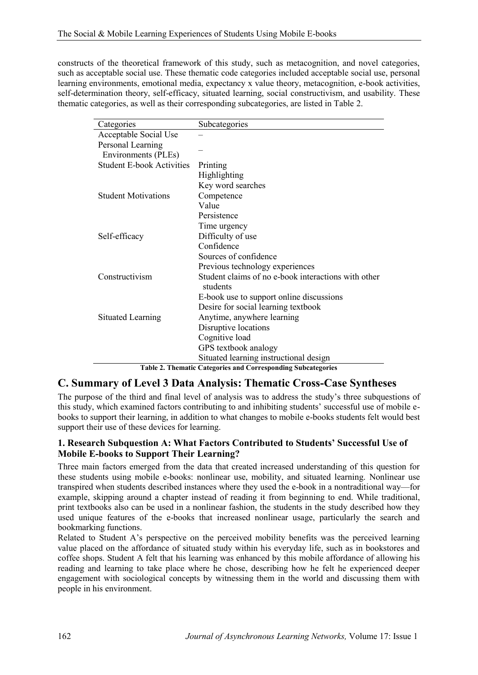constructs of the theoretical framework of this study, such as metacognition, and novel categories, such as acceptable social use. These thematic code categories included acceptable social use, personal learning environments, emotional media, expectancy x value theory, metacognition, e-book activities, self-determination theory, self-efficacy, situated learning, social constructivism, and usability. These thematic categories, as well as their corresponding subcategories, are listed in Table 2.

| Categories                       | Subcategories                                                   |  |  |
|----------------------------------|-----------------------------------------------------------------|--|--|
| Acceptable Social Use            |                                                                 |  |  |
| Personal Learning                |                                                                 |  |  |
| Environments (PLEs)              |                                                                 |  |  |
| <b>Student E-book Activities</b> | Printing                                                        |  |  |
|                                  | Highlighting                                                    |  |  |
|                                  | Key word searches                                               |  |  |
| <b>Student Motivations</b>       | Competence                                                      |  |  |
|                                  | Value                                                           |  |  |
|                                  | Persistence                                                     |  |  |
|                                  | Time urgency                                                    |  |  |
| Self-efficacy                    | Difficulty of use                                               |  |  |
|                                  | Confidence                                                      |  |  |
|                                  | Sources of confidence                                           |  |  |
|                                  | Previous technology experiences                                 |  |  |
| Constructivism                   | Student claims of no e-book interactions with other<br>students |  |  |
|                                  | E-book use to support online discussions                        |  |  |
|                                  | Desire for social learning textbook                             |  |  |
| <b>Situated Learning</b>         | Anytime, anywhere learning                                      |  |  |
|                                  | Disruptive locations                                            |  |  |
|                                  | Cognitive load                                                  |  |  |
|                                  | GPS textbook analogy                                            |  |  |
|                                  | Situated learning instructional design                          |  |  |

**Table 2. Thematic Categories and Corresponding Subcategories**

#### **C. Summary of Level 3 Data Analysis: Thematic Cross-Case Syntheses**

The purpose of the third and final level of analysis was to address the study's three subquestions of this study, which examined factors contributing to and inhibiting students' successful use of mobile ebooks to support their learning, in addition to what changes to mobile e-books students felt would best support their use of these devices for learning.

#### **1. Research Subquestion A: What Factors Contributed to Students' Successful Use of Mobile E-books to Support Their Learning?**

Three main factors emerged from the data that created increased understanding of this question for these students using mobile e-books: nonlinear use, mobility, and situated learning. Nonlinear use transpired when students described instances where they used the e-book in a nontraditional way—for example, skipping around a chapter instead of reading it from beginning to end. While traditional, print textbooks also can be used in a nonlinear fashion, the students in the study described how they used unique features of the e-books that increased nonlinear usage, particularly the search and bookmarking functions.

Related to Student A's perspective on the perceived mobility benefits was the perceived learning value placed on the affordance of situated study within his everyday life, such as in bookstores and coffee shops. Student A felt that his learning was enhanced by this mobile affordance of allowing his reading and learning to take place where he chose, describing how he felt he experienced deeper engagement with sociological concepts by witnessing them in the world and discussing them with people in his environment.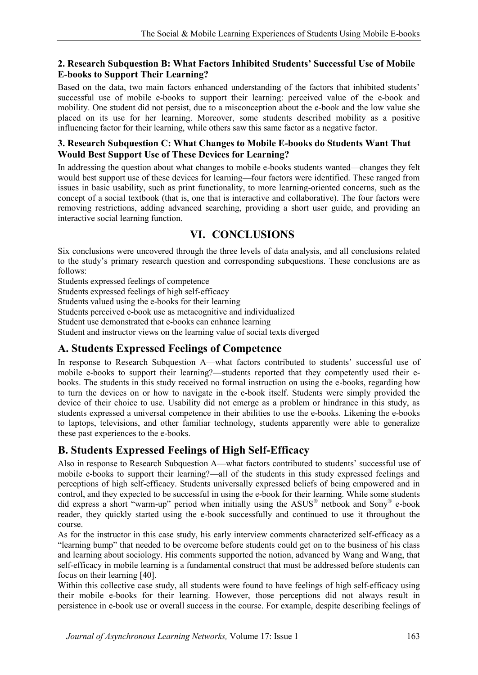#### **2. Research Subquestion B: What Factors Inhibited Students' Successful Use of Mobile E-books to Support Their Learning?**

Based on the data, two main factors enhanced understanding of the factors that inhibited students' successful use of mobile e-books to support their learning: perceived value of the e-book and mobility. One student did not persist, due to a misconception about the e-book and the low value she placed on its use for her learning. Moreover, some students described mobility as a positive influencing factor for their learning, while others saw this same factor as a negative factor.

#### **3. Research Subquestion C: What Changes to Mobile E-books do Students Want That Would Best Support Use of These Devices for Learning?**

In addressing the question about what changes to mobile e-books students wanted—changes they felt would best support use of these devices for learning—four factors were identified. These ranged from issues in basic usability, such as print functionality, to more learning-oriented concerns, such as the concept of a social textbook (that is, one that is interactive and collaborative). The four factors were removing restrictions, adding advanced searching, providing a short user guide, and providing an interactive social learning function.

# **VI. CONCLUSIONS**

Six conclusions were uncovered through the three levels of data analysis, and all conclusions related to the study's primary research question and corresponding subquestions. These conclusions are as follows:

Students expressed feelings of competence

Students expressed feelings of high self-efficacy

Students valued using the e-books for their learning

Students perceived e-book use as metacognitive and individualized

Student use demonstrated that e-books can enhance learning

Student and instructor views on the learning value of social texts diverged

## **A. Students Expressed Feelings of Competence**

In response to Research Subquestion A—what factors contributed to students' successful use of mobile e-books to support their learning?—students reported that they competently used their ebooks. The students in this study received no formal instruction on using the e-books, regarding how to turn the devices on or how to navigate in the e-book itself. Students were simply provided the device of their choice to use. Usability did not emerge as a problem or hindrance in this study, as students expressed a universal competence in their abilities to use the e-books. Likening the e-books to laptops, televisions, and other familiar technology, students apparently were able to generalize these past experiences to the e-books.

# **B. Students Expressed Feelings of High Self-Efficacy**

Also in response to Research Subquestion A—what factors contributed to students' successful use of mobile e-books to support their learning?—all of the students in this study expressed feelings and perceptions of high self-efficacy. Students universally expressed beliefs of being empowered and in control, and they expected to be successful in using the e-book for their learning. While some students did express a short "warm-up" period when initially using the ASUS® netbook and Sony® e-book reader, they quickly started using the e-book successfully and continued to use it throughout the course.

As for the instructor in this case study, his early interview comments characterized self-efficacy as a "learning bump" that needed to be overcome before students could get on to the business of his class and learning about sociology. His comments supported the notion, advanced by Wang and Wang, that self-efficacy in mobile learning is a fundamental construct that must be addressed before students can focus on their learning [40].

Within this collective case study, all students were found to have feelings of high self-efficacy using their mobile e-books for their learning. However, those perceptions did not always result in persistence in e-book use or overall success in the course. For example, despite describing feelings of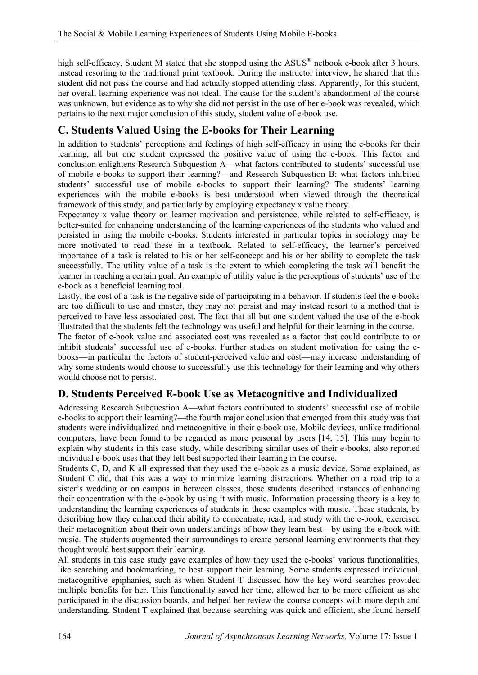high self-efficacy, Student M stated that she stopped using the ASUS® netbook e-book after 3 hours, instead resorting to the traditional print textbook. During the instructor interview, he shared that this student did not pass the course and had actually stopped attending class. Apparently, for this student, her overall learning experience was not ideal. The cause for the student's abandonment of the course was unknown, but evidence as to why she did not persist in the use of her e-book was revealed, which pertains to the next major conclusion of this study, student value of e-book use.

# **C. Students Valued Using the E-books for Their Learning**

In addition to students' perceptions and feelings of high self-efficacy in using the e-books for their learning, all but one student expressed the positive value of using the e-book. This factor and conclusion enlightens Research Subquestion A—what factors contributed to students' successful use of mobile e-books to support their learning?—and Research Subquestion B: what factors inhibited students' successful use of mobile e-books to support their learning? The students' learning experiences with the mobile e-books is best understood when viewed through the theoretical framework of this study, and particularly by employing expectancy x value theory.

Expectancy x value theory on learner motivation and persistence, while related to self-efficacy, is better-suited for enhancing understanding of the learning experiences of the students who valued and persisted in using the mobile e-books. Students interested in particular topics in sociology may be more motivated to read these in a textbook. Related to self-efficacy, the learner's perceived importance of a task is related to his or her self-concept and his or her ability to complete the task successfully. The utility value of a task is the extent to which completing the task will benefit the learner in reaching a certain goal. An example of utility value is the perceptions of students' use of the e-book as a beneficial learning tool.

Lastly, the cost of a task is the negative side of participating in a behavior. If students feel the e-books are too difficult to use and master, they may not persist and may instead resort to a method that is perceived to have less associated cost. The fact that all but one student valued the use of the e-book illustrated that the students felt the technology was useful and helpful for their learning in the course.

The factor of e-book value and associated cost was revealed as a factor that could contribute to or inhibit students' successful use of e-books. Further studies on student motivation for using the ebooks—in particular the factors of student-perceived value and cost—may increase understanding of why some students would choose to successfully use this technology for their learning and why others would choose not to persist.

# **D. Students Perceived E-book Use as Metacognitive and Individualized**

Addressing Research Subquestion A—what factors contributed to students' successful use of mobile e-books to support their learning?—the fourth major conclusion that emerged from this study was that students were individualized and metacognitive in their e-book use. Mobile devices, unlike traditional computers, have been found to be regarded as more personal by users [14, 15]. This may begin to explain why students in this case study, while describing similar uses of their e-books, also reported individual e-book uses that they felt best supported their learning in the course.

Students C, D, and K all expressed that they used the e-book as a music device. Some explained, as Student C did, that this was a way to minimize learning distractions. Whether on a road trip to a sister's wedding or on campus in between classes, these students described instances of enhancing their concentration with the e-book by using it with music. Information processing theory is a key to understanding the learning experiences of students in these examples with music. These students, by describing how they enhanced their ability to concentrate, read, and study with the e-book, exercised their metacognition about their own understandings of how they learn best—by using the e-book with music. The students augmented their surroundings to create personal learning environments that they thought would best support their learning.

All students in this case study gave examples of how they used the e-books' various functionalities, like searching and bookmarking, to best support their learning. Some students expressed individual, metacognitive epiphanies, such as when Student T discussed how the key word searches provided multiple benefits for her. This functionality saved her time, allowed her to be more efficient as she participated in the discussion boards, and helped her review the course concepts with more depth and understanding. Student T explained that because searching was quick and efficient, she found herself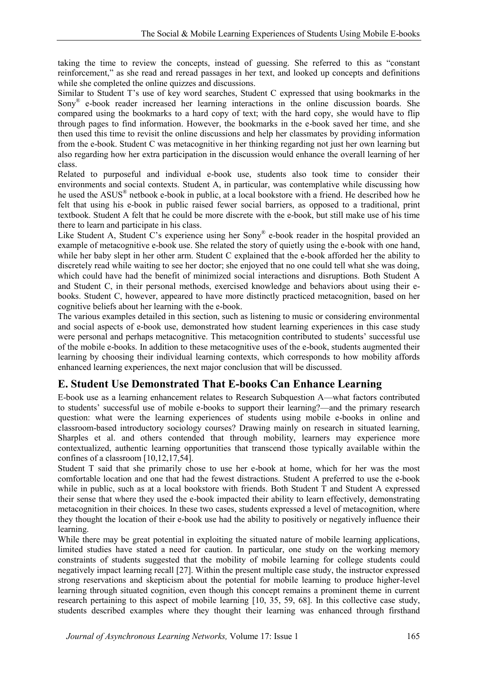taking the time to review the concepts, instead of guessing. She referred to this as "constant reinforcement," as she read and reread passages in her text, and looked up concepts and definitions while she completed the online quizzes and discussions.

Similar to Student T's use of key word searches, Student C expressed that using bookmarks in the Sony® e-book reader increased her learning interactions in the online discussion boards. She compared using the bookmarks to a hard copy of text; with the hard copy, she would have to flip through pages to find information. However, the bookmarks in the e-book saved her time, and she then used this time to revisit the online discussions and help her classmates by providing information from the e-book. Student C was metacognitive in her thinking regarding not just her own learning but also regarding how her extra participation in the discussion would enhance the overall learning of her class.

Related to purposeful and individual e-book use, students also took time to consider their environments and social contexts. Student A, in particular, was contemplative while discussing how he used the ASUS<sup>®</sup> netbook e-book in public, at a local bookstore with a friend. He described how he felt that using his e-book in public raised fewer social barriers, as opposed to a traditional, print textbook. Student A felt that he could be more discrete with the e-book, but still make use of his time there to learn and participate in his class.

Like Student A, Student C's experience using her Sony® e-book reader in the hospital provided an example of metacognitive e-book use. She related the story of quietly using the e-book with one hand, while her baby slept in her other arm. Student C explained that the e-book afforded her the ability to discretely read while waiting to see her doctor; she enjoyed that no one could tell what she was doing, which could have had the benefit of minimized social interactions and disruptions. Both Student A and Student C, in their personal methods, exercised knowledge and behaviors about using their ebooks. Student C, however, appeared to have more distinctly practiced metacognition, based on her cognitive beliefs about her learning with the e-book.

The various examples detailed in this section, such as listening to music or considering environmental and social aspects of e-book use, demonstrated how student learning experiences in this case study were personal and perhaps metacognitive. This metacognition contributed to students' successful use of the mobile e-books. In addition to these metacognitive uses of the e-book, students augmented their learning by choosing their individual learning contexts, which corresponds to how mobility affords enhanced learning experiences, the next major conclusion that will be discussed.

## **E. Student Use Demonstrated That E-books Can Enhance Learning**

E-book use as a learning enhancement relates to Research Subquestion A—what factors contributed to students' successful use of mobile e-books to support their learning?—and the primary research question: what were the learning experiences of students using mobile e-books in online and classroom-based introductory sociology courses? Drawing mainly on research in situated learning, Sharples et al. and others contended that through mobility, learners may experience more contextualized, authentic learning opportunities that transcend those typically available within the confines of a classroom [10,12,17,54].

Student T said that she primarily chose to use her e-book at home, which for her was the most comfortable location and one that had the fewest distractions. Student A preferred to use the e-book while in public, such as at a local bookstore with friends. Both Student T and Student A expressed their sense that where they used the e-book impacted their ability to learn effectively, demonstrating metacognition in their choices. In these two cases, students expressed a level of metacognition, where they thought the location of their e-book use had the ability to positively or negatively influence their learning.

While there may be great potential in exploiting the situated nature of mobile learning applications, limited studies have stated a need for caution. In particular, one study on the working memory constraints of students suggested that the mobility of mobile learning for college students could negatively impact learning recall [27]. Within the present multiple case study, the instructor expressed strong reservations and skepticism about the potential for mobile learning to produce higher-level learning through situated cognition, even though this concept remains a prominent theme in current research pertaining to this aspect of mobile learning [10, 35, 59, 68]. In this collective case study, students described examples where they thought their learning was enhanced through firsthand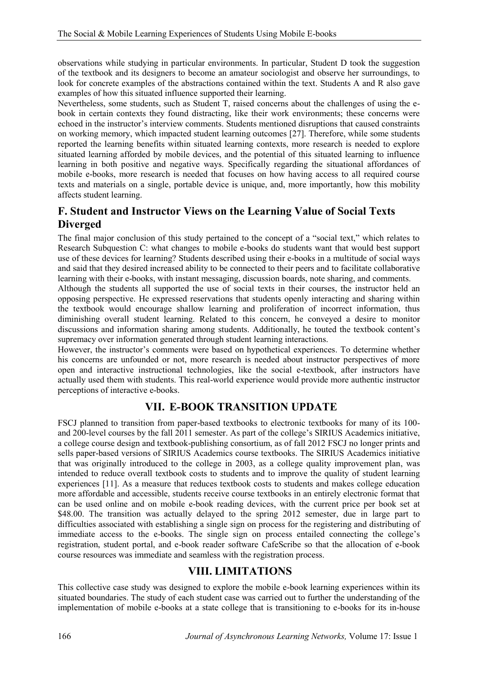observations while studying in particular environments. In particular, Student D took the suggestion of the textbook and its designers to become an amateur sociologist and observe her surroundings, to look for concrete examples of the abstractions contained within the text. Students A and R also gave examples of how this situated influence supported their learning.

Nevertheless, some students, such as Student T, raised concerns about the challenges of using the ebook in certain contexts they found distracting, like their work environments; these concerns were echoed in the instructor's interview comments. Students mentioned disruptions that caused constraints on working memory, which impacted student learning outcomes [27]. Therefore, while some students reported the learning benefits within situated learning contexts, more research is needed to explore situated learning afforded by mobile devices, and the potential of this situated learning to influence learning in both positive and negative ways. Specifically regarding the situational affordances of mobile e-books, more research is needed that focuses on how having access to all required course texts and materials on a single, portable device is unique, and, more importantly, how this mobility affects student learning.

## **F. Student and Instructor Views on the Learning Value of Social Texts Diverged**

The final major conclusion of this study pertained to the concept of a "social text," which relates to Research Subquestion C: what changes to mobile e-books do students want that would best support use of these devices for learning? Students described using their e-books in a multitude of social ways and said that they desired increased ability to be connected to their peers and to facilitate collaborative learning with their e-books, with instant messaging, discussion boards, note sharing, and comments.

Although the students all supported the use of social texts in their courses, the instructor held an opposing perspective. He expressed reservations that students openly interacting and sharing within the textbook would encourage shallow learning and proliferation of incorrect information, thus diminishing overall student learning. Related to this concern, he conveyed a desire to monitor discussions and information sharing among students. Additionally, he touted the textbook content's supremacy over information generated through student learning interactions.

However, the instructor's comments were based on hypothetical experiences. To determine whether his concerns are unfounded or not, more research is needed about instructor perspectives of more open and interactive instructional technologies, like the social e-textbook, after instructors have actually used them with students. This real-world experience would provide more authentic instructor perceptions of interactive e-books.

## **VII. E-BOOK TRANSITION UPDATE**

FSCJ planned to transition from paper-based textbooks to electronic textbooks for many of its 100 and 200-level courses by the fall 2011 semester. As part of the college's SIRIUS Academics initiative, a college course design and textbook-publishing consortium, as of fall 2012 FSCJ no longer prints and sells paper-based versions of SIRIUS Academics course textbooks. The SIRIUS Academics initiative that was originally introduced to the college in 2003, as a college quality improvement plan, was intended to reduce overall textbook costs to students and to improve the quality of student learning experiences [11]. As a measure that reduces textbook costs to students and makes college education more affordable and accessible, students receive course textbooks in an entirely electronic format that can be used online and on mobile e-book reading devices, with the current price per book set at \$48.00. The transition was actually delayed to the spring 2012 semester, due in large part to difficulties associated with establishing a single sign on process for the registering and distributing of immediate access to the e-books. The single sign on process entailed connecting the college's registration, student portal, and e-book reader software CafeScribe so that the allocation of e-book course resources was immediate and seamless with the registration process.

#### **VIII. LIMITATIONS**

This collective case study was designed to explore the mobile e-book learning experiences within its situated boundaries. The study of each student case was carried out to further the understanding of the implementation of mobile e-books at a state college that is transitioning to e-books for its in-house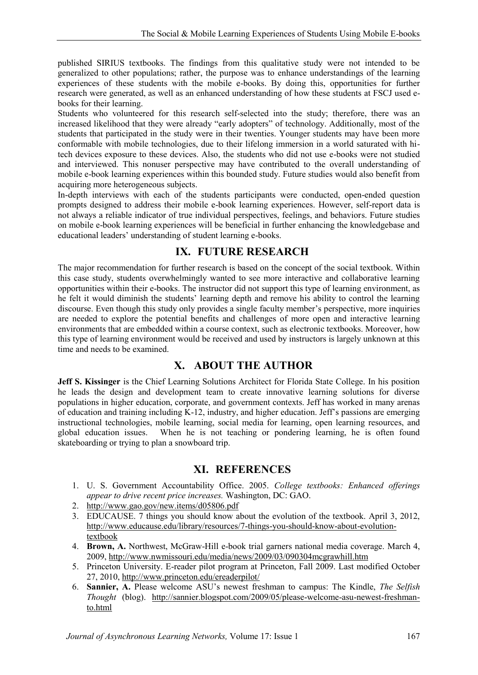published SIRIUS textbooks. The findings from this qualitative study were not intended to be generalized to other populations; rather, the purpose was to enhance understandings of the learning experiences of these students with the mobile e-books. By doing this, opportunities for further research were generated, as well as an enhanced understanding of how these students at FSCJ used ebooks for their learning.

Students who volunteered for this research self-selected into the study; therefore, there was an increased likelihood that they were already "early adopters" of technology. Additionally, most of the students that participated in the study were in their twenties. Younger students may have been more conformable with mobile technologies, due to their lifelong immersion in a world saturated with hitech devices exposure to these devices. Also, the students who did not use e-books were not studied and interviewed. This nonuser perspective may have contributed to the overall understanding of mobile e-book learning experiences within this bounded study. Future studies would also benefit from acquiring more heterogeneous subjects.

In-depth interviews with each of the students participants were conducted, open-ended question prompts designed to address their mobile e-book learning experiences. However, self-report data is not always a reliable indicator of true individual perspectives, feelings, and behaviors. Future studies on mobile e-book learning experiences will be beneficial in further enhancing the knowledgebase and educational leaders' understanding of student learning e-books.

#### **IX. FUTURE RESEARCH**

The major recommendation for further research is based on the concept of the social textbook. Within this case study, students overwhelmingly wanted to see more interactive and collaborative learning opportunities within their e-books. The instructor did not support this type of learning environment, as he felt it would diminish the students' learning depth and remove his ability to control the learning discourse. Even though this study only provides a single faculty member's perspective, more inquiries are needed to explore the potential benefits and challenges of more open and interactive learning environments that are embedded within a course context, such as electronic textbooks. Moreover, how this type of learning environment would be received and used by instructors is largely unknown at this time and needs to be examined.

## **X. ABOUT THE AUTHOR**

**Jeff S. Kissinger** is the Chief Learning Solutions Architect for Florida State College. In his position he leads the design and development team to create innovative learning solutions for diverse populations in higher education, corporate, and government contexts. Jeff has worked in many arenas of education and training including K-12, industry, and higher education. Jeff's passions are emerging instructional technologies, mobile learning, social media for learning, open learning resources, and global education issues. When he is not teaching or pondering learning, he is often found skateboarding or trying to plan a snowboard trip.

#### **XI. REFERENCES**

- 1. U. S. Government Accountability Office. 2005. *College textbooks: Enhanced offerings appear to drive recent price increases.* Washington, DC: GAO.
- 2. <http://www.gao.gov/new.items/d05806.pdf>
- 3. EDUCAUSE. 7 things you should know about the evolution of the textbook. April 3, 2012, [http://www.educause.edu/library/resources/7-things-you-should-know-about-evolution](http://www.educause.edu/library/resources/7-things-you-should-know-about-evolution-textbook)[textbook](http://www.educause.edu/library/resources/7-things-you-should-know-about-evolution-textbook)
- 4. **Brown, A.** Northwest, McGraw-Hill e-book trial garners national media coverage. March 4, 2009,<http://www.nwmissouri.edu/media/news/2009/03/090304mcgrawhill.htm>
- 5. Princeton University. E-reader pilot program at Princeton, Fall 2009. Last modified October 27, 2010,<http://www.princeton.edu/ereaderpilot/>
- 6. **Sannier, A.** Please welcome ASU's newest freshman to campus: The Kindle, *The Selfish Thought* (blog). [http://sannier.blogspot.com/2009/05/please-welcome-asu-newest-freshman](http://sannier.blogspot.com/2009/05/please-welcome-asu-newest-freshman-to.html)[to.html](http://sannier.blogspot.com/2009/05/please-welcome-asu-newest-freshman-to.html)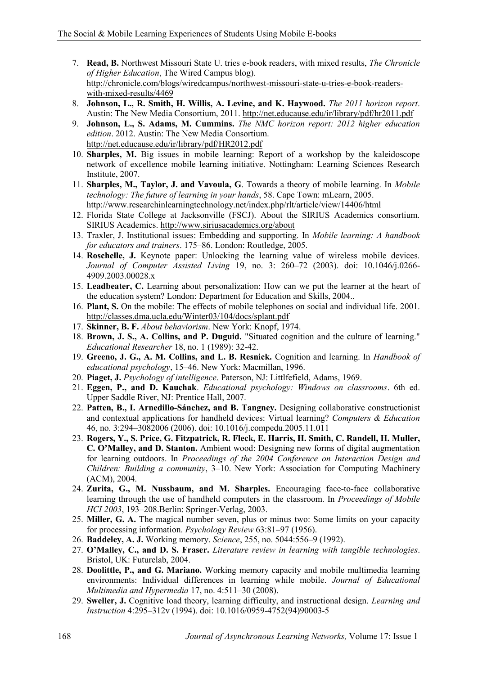- 7. **Read, B.** Northwest Missouri State U. tries e-book readers, with mixed results, *The Chronicle of Higher Education*, The Wired Campus blog). [http://chronicle.com/blogs/wiredcampus/northwest-missouri-state-u-tries-e-book-readers](http://chronicle.com/blogs/wiredcampus/northwest-missouri-state-u-tries-e-book-readers-with-mixed-results/4469)[with-mixed-results/4469](http://chronicle.com/blogs/wiredcampus/northwest-missouri-state-u-tries-e-book-readers-with-mixed-results/4469)
- 8. **Johnson, L., R. Smith, H. Willis, A. Levine, and K. Haywood.** *The 2011 horizon report*. Austin: The New Media Consortium, 2011. <http://net.educause.edu/ir/library/pdf/hr2011.pdf>
- 9. **Johnson, L., S. Adams, M. Cummins.** *The NMC horizon report: 2012 higher education edition*. 2012. Austin: The New Media Consortium. <http://net.educause.edu/ir/library/pdf/HR2012.pdf>
- 10. **Sharples, M.** Big issues in mobile learning: Report of a workshop by the kaleidoscope network of excellence mobile learning initiative. Nottingham: Learning Sciences Research Institute, 2007.
- 11. **Sharples, M., Taylor, J. and Vavoula, G**. Towards a theory of mobile learning. In *Mobile technology: The future of learning in your hands*, 58. Cape Town: mLearn, 2005. <http://www.researchinlearningtechnology.net/index.php/rlt/article/view/14406/html>
- 12. Florida State College at Jacksonville (FSCJ). About the SIRIUS Academics consortium. SIRIUS Academics.<http://www.siriusacademics.org/about>
- 13. Traxler, J. Institutional issues: Embedding and supporting. In *Mobile learning: A handbook for educators and trainers*. 175–86. London: Routledge, 2005.
- 14. **Roschelle, J.** Keynote paper: Unlocking the learning value of wireless mobile devices. *Journal of Computer Assisted Living* 19, no. 3: 260–72 (2003). doi: 10.1046/j.0266- 4909.2003.00028.x
- 15. **Leadbeater, C.** Learning about personalization: How can we put the learner at the heart of the education system? London: Department for Education and Skills, 2004..
- 16. **Plant, S.** On the mobile: The effects of mobile telephones on social and individual life. 2001. <http://classes.dma.ucla.edu/Winter03/104/docs/splant.pdf>
- 17. **Skinner, B. F.** *About behaviorism*. New York: Knopf, 1974.
- 18. **Brown, J. S., A. Collins, and P. Duguid.** "Situated cognition and the culture of learning." *Educational Researcher* 18, no. 1 (1989): 32-42.
- 19. **Greeno, J. G., A. M. Collins, and L. B. Resnick.** Cognition and learning. In *Handbook of educational psychology*, 15–46. New York: Macmillan, 1996.
- 20. **Piaget, J.** *Psychology of intelligence*. Paterson, NJ: Littlfefield, Adams, 1969.
- 21. **Eggen, P., and D. Kauchak**. *Educational psychology: Windows on classrooms*. 6th ed. Upper Saddle River, NJ: Prentice Hall, 2007.
- 22. **Patten, B., I. Arnedillo-Sánchez, and B. Tangney.** Designing collaborative constructionist and contextual applications for handheld devices: Virtual learning? *Computers & Education* 46, no. 3:294–3082006 (2006). doi: 10.1016/j.compedu.2005.11.011
- 23. **Rogers, Y., S. Price, G. Fitzpatrick, R. Fleck, E. Harris, H. Smith, C. Randell, H. Muller, C. O'Malley, and D. Stanton.** Ambient wood: Designing new forms of digital augmentation for learning outdoors. In *Proceedings of the 2004 Conference on Interaction Design and Children: Building a community*, 3–10. New York: Association for Computing Machinery (ACM), 2004.
- 24. **Zurita, G., M. Nussbaum, and M. Sharples.** Encouraging face-to-face collaborative learning through the use of handheld computers in the classroom. In *Proceedings of Mobile HCI 2003*, 193–208.Berlin: Springer-Verlag, 2003.
- 25. **Miller, G. A.** The magical number seven, plus or minus two: Some limits on your capacity for processing information. *Psychology Review* 63:81–97 (1956).
- 26. **Baddeley, A. J.** Working memory. *Science*, 255, no. 5044:556–9 (1992).
- 27. **O'Malley, C., and D. S. Fraser.** *Literature review in learning with tangible technologies*. Bristol, UK: Futurelab, 2004.
- 28. **Doolittle, P., and G. Mariano.** Working memory capacity and mobile multimedia learning environments: Individual differences in learning while mobile. *Journal of Educational Multimedia and Hypermedia* 17, no. 4:511–30 (2008).
- 29. **Sweller, J.** Cognitive load theory, learning difficulty, and instructional design. *Learning and Instruction* 4:295–312v (1994). doi: 10.1016/0959-4752(94)90003-5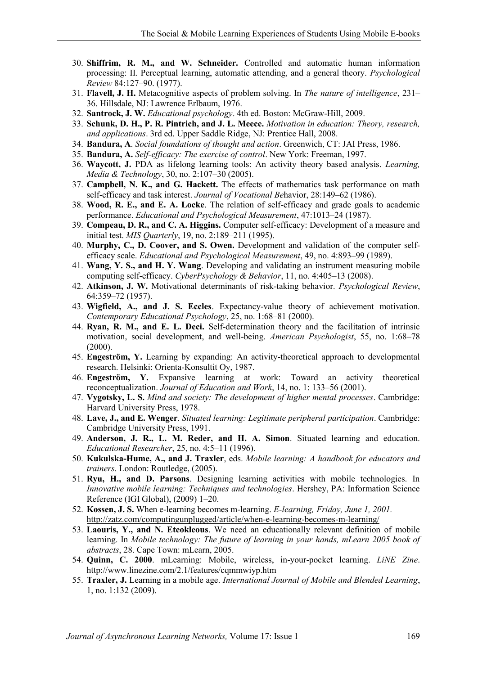- 30. **Shiffrim, R. M., and W. Schneider.** Controlled and automatic human information processing: II. Perceptual learning, automatic attending, and a general theory. *Psychological Review* 84:127–90. (1977).
- 31. **Flavell, J. H.** Metacognitive aspects of problem solving. In *The nature of intelligence*, 231– 36. Hillsdale, NJ: Lawrence Erlbaum, 1976.
- 32. **Santrock, J. W.** *Educational psychology*. 4th ed. Boston: McGraw-Hill, 2009.
- 33. **Schunk, D. H., P. R. Pintrich, and J. L. Meece.** *Motivation in education: Theory, research, and applications*. 3rd ed. Upper Saddle Ridge, NJ: Prentice Hall, 2008.
- 34. **Bandura, A**. *Social foundations of thought and action*. Greenwich, CT: JAI Press, 1986.
- 35. **Bandura, A.** *Self-efficacy: The exercise of control*. New York: Freeman, 1997.
- 36. **Waycott, J.** PDA as lifelong learning tools: An activity theory based analysis. *Learning, Media & Technology*, 30, no. 2:107–30 (2005).
- 37. **Campbell, N. K., and G. Hackett.** The effects of mathematics task performance on math self-efficacy and task interest. *Journal of Vocational Be*havior, 28:149–62 (1986).
- 38. **Wood, R. E., and E. A. Locke**. The relation of self-efficacy and grade goals to academic performance. *Educational and Psychological Measurement*, 47:1013–24 (1987).
- 39. **Compeau, D. R., and C. A. Higgins.** Computer self-efficacy: Development of a measure and initial test. *MIS Quarterly*, 19, no. 2:189–211 (1995).
- 40. **Murphy, C., D. Coover, and S. Owen.** Development and validation of the computer selfefficacy scale. *Educational and Psychological Measurement*, 49, no. 4:893–99 (1989).
- 41. **Wang, Y. S., and H. Y. Wang**. Developing and validating an instrument measuring mobile computing self-efficacy. *CyberPsychology & Behavior*, 11, no. 4:405–13 (2008).
- 42. **Atkinson, J. W.** Motivational determinants of risk-taking behavior. *Psychological Review*, 64:359–72 (1957).
- 43. **Wigfield, A., and J. S. Eccles**. Expectancy-value theory of achievement motivation. *Contemporary Educational Psychology*, 25, no. 1:68–81 (2000).
- 44. **Ryan, R. M., and E. L. Deci.** Self-determination theory and the facilitation of intrinsic motivation, social development, and well-being. *American Psychologist*, 55, no. 1:68–78 (2000).
- 45. **Engeström, Y.** Learning by expanding: An activity-theoretical approach to developmental research. Helsinki: Orienta-Konsultit Oy, 1987.
- 46. **Engeström, Y.** Expansive learning at work: Toward an activity theoretical reconceptualization. *Journal of Education and Work*, 14, no. 1: 133–56 (2001).
- 47. **Vygotsky, L. S.** *Mind and society: The development of higher mental processes*. Cambridge: Harvard University Press, 1978.
- 48. **Lave, J., and E. Wenger**. *Situated learning: Legitimate peripheral participation*. Cambridge: Cambridge University Press, 1991.
- 49. **Anderson, J. R., L. M. Reder, and H. A. Simon**. Situated learning and education. *Educational Researcher*, 25, no. 4:5–11 (1996).
- 50. **Kukulska-Hume, A., and J. Traxler**, eds. *Mobile learning: A handbook for educators and trainers*. London: Routledge, (2005).
- 51. **Ryu, H., and D. Parsons**. Designing learning activities with mobile technologies. In *Innovative mobile learning: Techniques and technologies*. Hershey, PA: Information Science Reference (IGI Global), (2009) 1–20.
- 52. **Kossen, J. S.** When e-learning becomes m-learning. *E-learning, Friday, June 1, 2001.* <http://zatz.com/computingunplugged/article/when-e-learning-becomes-m-learning/>
- 53. **Laouris, Y., and N. Eteokleous**. We need an educationally relevant definition of mobile learning. In *Mobile technology: The future of learning in your hands, mLearn 2005 book of abstracts*, 28. Cape Town: mLearn, 2005.
- 54. **Quinn, C. 2000**. mLearning: Mobile, wireless, in-your-pocket learning. *LiNE Zine*. <http://www.linezine.com/2.1/features/cqmmwiyp.htm>
- 55. **Traxler, J.** Learning in a mobile age. *International Journal of Mobile and Blended Learning*, 1, no. 1:132 (2009).